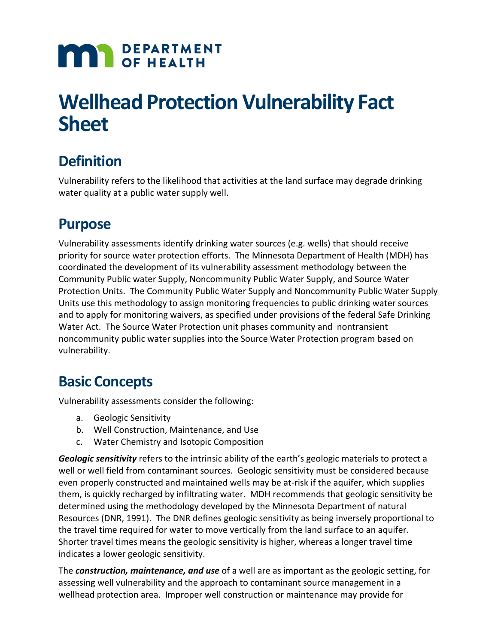# **MAN** DEPARTMENT

## **Wellhead Protection Vulnerability Fact Sheet**

### **Definition**

Vulnerability refers to the likelihood that activities at the land surface may degrade drinking water quality at a public water supply well.

#### **Purpose**

Vulnerability assessments identify drinking water sources (e.g. wells) that should receive priority for source water protection efforts. The Minnesota Department of Health (MDH) has coordinated the development of its vulnerability assessment methodology between the Community Public water Supply, Noncommunity Public Water Supply, and Source Water Protection Units. The Community Public Water Supply and Noncommunity Public Water Supply Units use this methodology to assign monitoring frequencies to public drinking water sources and to apply for monitoring waivers, as specified under provisions of the federal Safe Drinking Water Act. The Source Water Protection unit phases community and nontransient noncommunity public water supplies into the Source Water Protection program based on vulnerability.

#### **Basic Concepts**

Vulnerability assessments consider the following:

- a. Geologic Sensitivity
- b. Well Construction, Maintenance, and Use
- c. Water Chemistry and Isotopic Composition

*Geologic sensitivity* refers to the intrinsic ability of the earth's geologic materials to protect a well or well field from contaminant sources. Geologic sensitivity must be considered because even properly constructed and maintained wells may be at-risk if the aquifer, which supplies them, is quickly recharged by infiltrating water. MDH recommends that geologic sensitivity be determined using the methodology developed by the Minnesota Department of natural Resources (DNR, 1991). The DNR defines geologic sensitivity as being inversely proportional to the travel time required for water to move vertically from the land surface to an aquifer. Shorter travel times means the geologic sensitivity is higher, whereas a longer travel time indicates a lower geologic sensitivity.

The *construction, maintenance, and use* of a well are as important as the geologic setting, for assessing well vulnerability and the approach to contaminant source management in a wellhead protection area. Improper well construction or maintenance may provide for